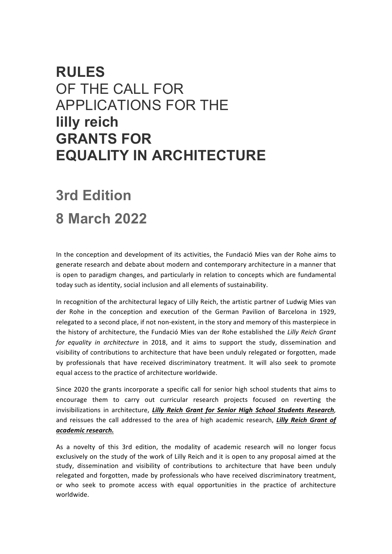## **RULES** OF THE CALL FOR APPLICATIONS FOR THE **lilly reich GRANTS FOR EQUALITY IN ARCHITECTURE**

# **3rd Edition 8 March 2022**

In the conception and development of its activities, the Fundació Mies van der Rohe aims to generate research and debate about modern and contemporary architecture in a manner that is open to paradigm changes, and particularly in relation to concepts which are fundamental

today such as identity, social inclusion and all elements of sustainability.

In recognition of the architectural legacy of Lilly Reich, the artistic partner of Ludwig Mies van der Rohe in the conception and execution of the German Pavilion of Barcelona in 1929, relegated to a second place, if not non-existent, in the story and memory of this masterpiece in the history of architecture, the Fundació Mies van der Rohe established the *Lilly Reich Grant for* equality in architecture in 2018, and it aims to support the study, dissemination and visibility of contributions to architecture that have been unduly relegated or forgotten, made by professionals that have received discriminatory treatment. It will also seek to promote equal access to the practice of architecture worldwide.

Since 2020 the grants incorporate a specific call for senior high school students that aims to encourage them to carry out curricular research projects focused on reverting the invisibilizations in architecture, *Lilly Reich Grant for Senior High School Students Research*, and reissues the call addressed to the area of high academic research, *Lilly Reich Grant of academic research.*

As a novelty of this 3rd edition, the modality of academic research will no longer focus exclusively on the study of the work of Lilly Reich and it is open to any proposal aimed at the study, dissemination and visibility of contributions to architecture that have been unduly relegated and forgotten, made by professionals who have received discriminatory treatment, or who seek to promote access with equal opportunities in the practice of architecture worldwide.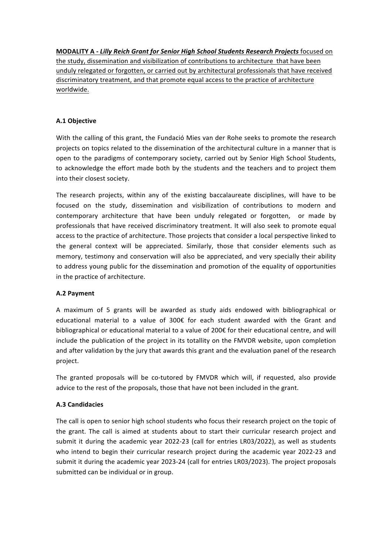**MODALITY A - Lilly Reich Grant for Senior High School Students Research Projects** focused on the study, dissemination and visibilization of contributions to architecture that have been unduly relegated or forgotten, or carried out by architectural professionals that have received discriminatory treatment, and that promote equal access to the practice of architecture worldwide.

## **A.1 Objective**

With the calling of this grant, the Fundació Mies van der Rohe seeks to promote the research projects on topics related to the dissemination of the architectural culture in a manner that is open to the paradigms of contemporary society, carried out by Senior High School Students, to acknowledge the effort made both by the students and the teachers and to project them into their closest society.

The research projects, within any of the existing baccalaureate disciplines, will have to be focused on the study, dissemination and visibilization of contributions to modern and contemporary architecture that have been unduly relegated or forgotten, or made by professionals that have received discriminatory treatment. It will also seek to promote equal access to the practice of architecture. Those projects that consider a local perspective linked to the general context will be appreciated. Similarly, those that consider elements such as memory, testimony and conservation will also be appreciated, and very specially their ability to address young public for the dissemination and promotion of the equality of opportunities in the practice of architecture.

## **A.2 Payment**

A maximum of 5 grants will be awarded as study aids endowed with bibliographical or educational material to a value of 300€ for each student awarded with the Grant and bibliographical or educational material to a value of 200 $\epsilon$  for their educational centre, and will include the publication of the project in its totallity on the FMVDR website, upon completion and after validation by the jury that awards this grant and the evaluation panel of the research project.

The granted proposals will be co-tutored by FMVDR which will, if requested, also provide advice to the rest of the proposals, those that have not been included in the grant.

## **A.3 Candidacies**

The call is open to senior high school students who focus their research project on the topic of the grant. The call is aimed at students about to start their curricular research project and submit it during the academic year 2022-23 (call for entries LR03/2022), as well as students who intend to begin their curricular research project during the academic year 2022-23 and submit it during the academic year 2023-24 (call for entries LR03/2023). The project proposals submitted can be individual or in group.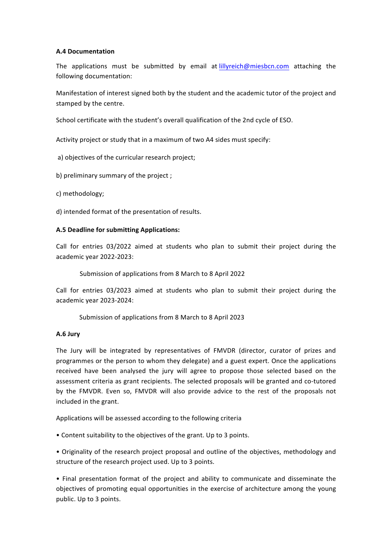#### **A.4 Documentation**

The applications must be submitted by email at [lillyreich@miesbcn.com](mailto:lillyreich@miesbcn.com) attaching the following documentation:

Manifestation of interest signed both by the student and the academic tutor of the project and stamped by the centre.

School certificate with the student's overall qualification of the 2nd cycle of ESO.

Activity project or study that in a maximum of two A4 sides must specify:

a) objectives of the curricular research project;

b) preliminary summary of the project;

c) methodology;

d) intended format of the presentation of results.

## A.5 Deadline for submitting Applications:

Call for entries 03/2022 aimed at students who plan to submit their project during the academic year 2022-2023:

Submission of applications from 8 March to 8 April 2022

Call for entries 03/2023 aimed at students who plan to submit their project during the academic year 2023-2024:

Submission of applications from 8 March to 8 April 2023

## **A.6 Jury**

The Jury will be integrated by representatives of FMVDR (director, curator of prizes and programmes or the person to whom they delegate) and a guest expert. Once the applications received have been analysed the jury will agree to propose those selected based on the assessment criteria as grant recipients. The selected proposals will be granted and co-tutored by the FMVDR. Even so, FMVDR will also provide advice to the rest of the proposals not included in the grant.

Applications will be assessed according to the following criteria

• Content suitability to the objectives of the grant. Up to 3 points.

• Originality of the research project proposal and outline of the objectives, methodology and structure of the research project used. Up to 3 points.

• Final presentation format of the project and ability to communicate and disseminate the objectives of promoting equal opportunities in the exercise of architecture among the young public. Up to 3 points.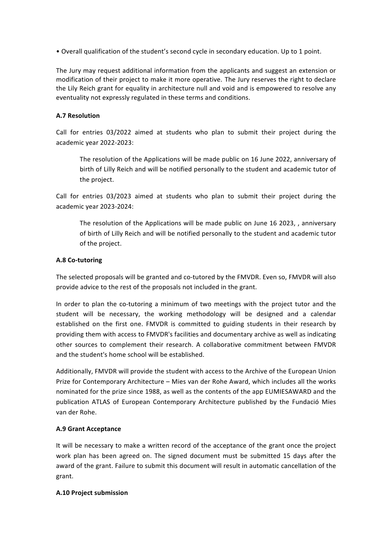• Overall qualification of the student's second cycle in secondary education. Up to 1 point.

The Jury may request additional information from the applicants and suggest an extension or modification of their project to make it more operative. The Jury reserves the right to declare the Lily Reich grant for equality in architecture null and void and is empowered to resolve any eventuality not expressly regulated in these terms and conditions.

## **A.7 Resolution**

Call for entries 03/2022 aimed at students who plan to submit their project during the academic year 2022-2023:

The resolution of the Applications will be made public on 16 June 2022, anniversary of birth of Lilly Reich and will be notified personally to the student and academic tutor of the project.

Call for entries 03/2023 aimed at students who plan to submit their project during the academic year 2023-2024:

The resolution of the Applications will be made public on June 16 2023, , anniversary of birth of Lilly Reich and will be notified personally to the student and academic tutor of the project.

## **A.8 Co-tutoring**

The selected proposals will be granted and co-tutored by the FMVDR. Even so, FMVDR will also provide advice to the rest of the proposals not included in the grant.

In order to plan the co-tutoring a minimum of two meetings with the project tutor and the student will be necessary, the working methodology will be designed and a calendar established on the first one. FMVDR is committed to guiding students in their research by providing them with access to FMVDR's facilities and documentary archive as well as indicating other sources to complement their research. A collaborative commitment between FMVDR and the student's home school will be established.

Additionally, FMVDR will provide the student with access to the Archive of the European Union Prize for Contemporary Architecture - Mies van der Rohe Award, which includes all the works nominated for the prize since 1988, as well as the contents of the app EUMIESAWARD and the publication ATLAS of European Contemporary Architecture published by the Fundació Mies van der Rohe.

## **A.9 Grant Acceptance**

It will be necessary to make a written record of the acceptance of the grant once the project work plan has been agreed on. The signed document must be submitted 15 days after the award of the grant. Failure to submit this document will result in automatic cancellation of the grant.

## **A.10 Project submission**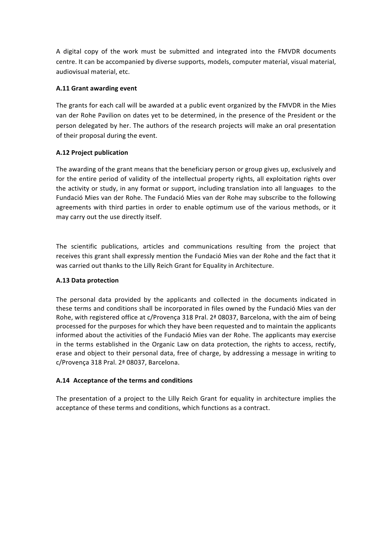A digital copy of the work must be submitted and integrated into the FMVDR documents centre. It can be accompanied by diverse supports, models, computer material, visual material, audiovisual material, etc.

## **A.11 Grant awarding event**

The grants for each call will be awarded at a public event organized by the FMVDR in the Mies van der Rohe Pavilion on dates yet to be determined, in the presence of the President or the person delegated by her. The authors of the research projects will make an oral presentation of their proposal during the event.

## **A.12 Project publication**

The awarding of the grant means that the beneficiary person or group gives up, exclusively and for the entire period of validity of the intellectual property rights, all exploitation rights over the activity or study, in any format or support, including translation into all languages to the Fundació Mies van der Rohe. The Fundació Mies van der Rohe may subscribe to the following agreements with third parties in order to enable optimum use of the various methods, or it may carry out the use directly itself.

The scientific publications, articles and communications resulting from the project that receives this grant shall expressly mention the Fundació Mies van der Rohe and the fact that it was carried out thanks to the Lilly Reich Grant for Equality in Architecture.

## **A.13 Data protection**

The personal data provided by the applicants and collected in the documents indicated in these terms and conditions shall be incorporated in files owned by the Fundació Mies van der Rohe, with registered office at c/Provença 318 Pral.  $2<sup>a</sup>$  08037, Barcelona, with the aim of being processed for the purposes for which they have been requested and to maintain the applicants informed about the activities of the Fundació Mies van der Rohe. The applicants may exercise in the terms established in the Organic Law on data protection, the rights to access, rectify, erase and object to their personal data, free of charge, by addressing a message in writing to c/Provença 318 Pral. 2ª 08037, Barcelona.

## **A.14 Acceptance of the terms and conditions**

The presentation of a project to the Lilly Reich Grant for equality in architecture implies the acceptance of these terms and conditions, which functions as a contract.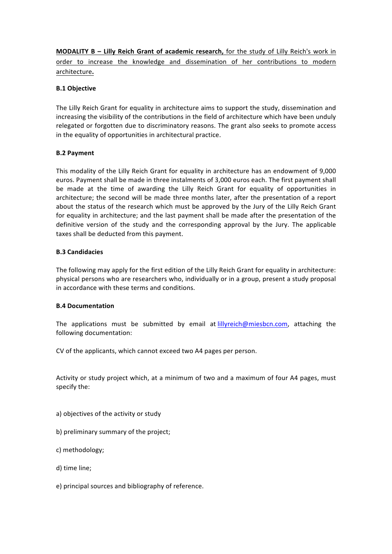**MODALITY B – Lilly Reich Grant of academic research,** for the study of Lilly Reich's work in order to increase the knowledge and dissemination of her contributions to modern architecture**.**

## **B.1 Objective**

The Lilly Reich Grant for equality in architecture aims to support the study, dissemination and increasing the visibility of the contributions in the field of architecture which have been unduly relegated or forgotten due to discriminatory reasons. The grant also seeks to promote access in the equality of opportunities in architectural practice.

## **B.2 Payment**

This modality of the Lilly Reich Grant for equality in architecture has an endowment of 9,000 euros. Payment shall be made in three instalments of 3,000 euros each. The first payment shall be made at the time of awarding the Lilly Reich Grant for equality of opportunities in architecture; the second will be made three months later, after the presentation of a report about the status of the research which must be approved by the Jury of the Lilly Reich Grant for equality in architecture; and the last payment shall be made after the presentation of the definitive version of the study and the corresponding approval by the Jury. The applicable taxes shall be deducted from this payment.

## **B.3 Candidacies**

The following may apply for the first edition of the Lilly Reich Grant for equality in architecture: physical persons who are researchers who, individually or in a group, present a study proposal in accordance with these terms and conditions.

## **B.4 Documentation**

The applications must be submitted by email at [lillyreich@miesbcn.com](mailto:lillyreich@miesbcn.com), attaching the following documentation:

CV of the applicants, which cannot exceed two A4 pages per person.

Activity or study project which, at a minimum of two and a maximum of four A4 pages, must specify the:

- a) objectives of the activity or study
- b) preliminary summary of the project;
- c) methodology;
- d) time line;
- e) principal sources and bibliography of reference.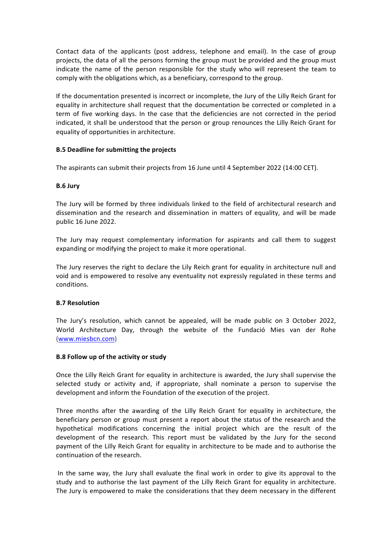Contact data of the applicants (post address, telephone and email). In the case of group projects, the data of all the persons forming the group must be provided and the group must indicate the name of the person responsible for the study who will represent the team to comply with the obligations which, as a beneficiary, correspond to the group.

If the documentation presented is incorrect or incomplete, the Jury of the Lilly Reich Grant for equality in architecture shall request that the documentation be corrected or completed in a term of five working days. In the case that the deficiencies are not corrected in the period indicated, it shall be understood that the person or group renounces the Lilly Reich Grant for equality of opportunities in architecture.

## **B.5 Deadline for submitting the projects**

The aspirants can submit their projects from 16 June until 4 September 2022 (14:00 CET).

## **B.6 Jury**

The Jury will be formed by three individuals linked to the field of architectural research and dissemination and the research and dissemination in matters of equality, and will be made public 16 June 2022.

The Jury may request complementary information for aspirants and call them to suggest expanding or modifying the project to make it more operational.

The Jury reserves the right to declare the Lily Reich grant for equality in architecture null and void and is empowered to resolve any eventuality not expressly regulated in these terms and conditions.

## **B.7 Resolution**

The Jury's resolution, which cannot be appealed, will be made public on 3 October 2022, World Architecture Day, through the website of the Fundació Mies van der Rohe [\(www.miesbcn.com](http://www.miesbcn.com/))

## **B.8 Follow up of the activity or study**

Once the Lilly Reich Grant for equality in architecture is awarded, the Jury shall supervise the selected study or activity and, if appropriate, shall nominate a person to supervise the development and inform the Foundation of the execution of the project.

Three months after the awarding of the Lilly Reich Grant for equality in architecture, the beneficiary person or group must present a report about the status of the research and the hypothetical modifications concerning the initial project which are the result of the development of the research. This report must be validated by the Jury for the second payment of the Lilly Reich Grant for equality in architecture to be made and to authorise the continuation of the research.

In the same way, the Jury shall evaluate the final work in order to give its approval to the study and to authorise the last payment of the Lilly Reich Grant for equality in architecture. The Jury is empowered to make the considerations that they deem necessary in the different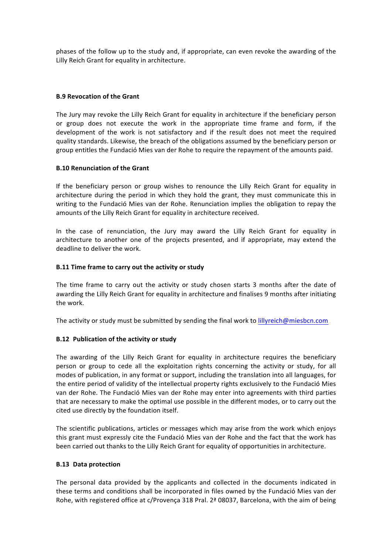phases of the follow up to the study and, if appropriate, can even revoke the awarding of the Lilly Reich Grant for equality in architecture.

## **B.9 Revocation of the Grant**

The Jury may revoke the Lilly Reich Grant for equality in architecture if the beneficiary person or group does not execute the work in the appropriate time frame and form, if the development of the work is not satisfactory and if the result does not meet the required quality standards. Likewise, the breach of the obligations assumed by the beneficiary person or group entitles the Fundació Mies van der Rohe to require the repayment of the amounts paid.

## **B.10 Renunciation of the Grant**

If the beneficiary person or group wishes to renounce the Lilly Reich Grant for equality in architecture during the period in which they hold the grant, they must communicate this in writing to the Fundació Mies van der Rohe. Renunciation implies the obligation to repay the amounts of the Lilly Reich Grant for equality in architecture received.

In the case of renunciation, the Jury may award the Lilly Reich Grant for equality in architecture to another one of the projects presented, and if appropriate, may extend the deadline to deliver the work.

## **B.11 Time frame to carry out the activity or study**

The time frame to carry out the activity or study chosen starts 3 months after the date of awarding the Lilly Reich Grant for equality in architecture and finalises 9 months after initiating the work.

The activity or study must be submitted by sending the final work to [lillyreich@miesbcn.com](mailto:lillyreich@miesbcn.com)

## **B.12** Publication of the activity or study

The awarding of the Lilly Reich Grant for equality in architecture requires the beneficiary person or group to cede all the exploitation rights concerning the activity or study, for all modes of publication, in any format or support, including the translation into all languages, for the entire period of validity of the intellectual property rights exclusively to the Fundació Mies van der Rohe. The Fundació Mies van der Rohe may enter into agreements with third parties that are necessary to make the optimal use possible in the different modes, or to carry out the cited use directly by the foundation itself.

The scientific publications, articles or messages which may arise from the work which enjoys this grant must expressly cite the Fundació Mies van der Rohe and the fact that the work has been carried out thanks to the Lilly Reich Grant for equality of opportunities in architecture.

## **B.13 Data protection**

The personal data provided by the applicants and collected in the documents indicated in these terms and conditions shall be incorporated in files owned by the Fundació Mies van der Rohe, with registered office at c/Provença 318 Pral.  $2<sup>a</sup>$  08037, Barcelona, with the aim of being